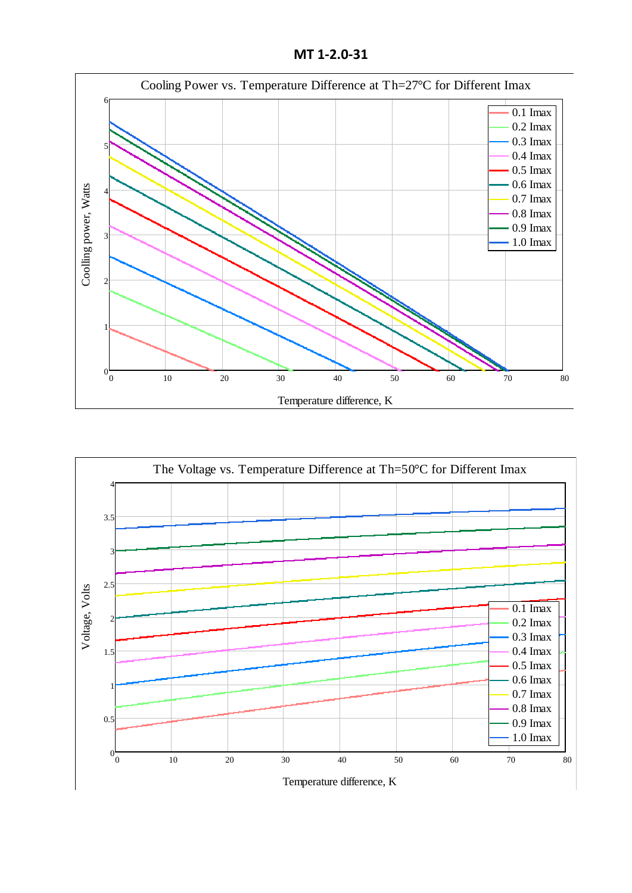